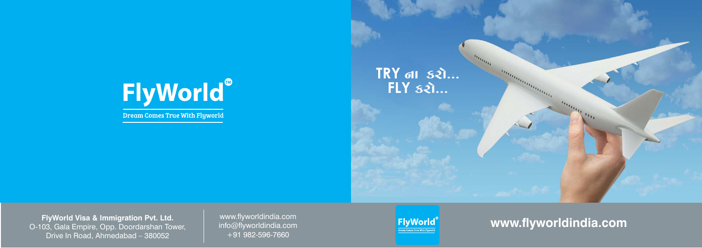# FlyWorld®

Dream Comes True With Flyworld





www.flyworldindia.com info@flyworldindia.com +91 982-596-7660

**FlyWorld Visa & Immigration Pvt. Ltd.** O-103, Gala Empire, Opp. Doordarshan Tower, Drive In Road, Ahmedabad - 380052

**www.yworldindia.com**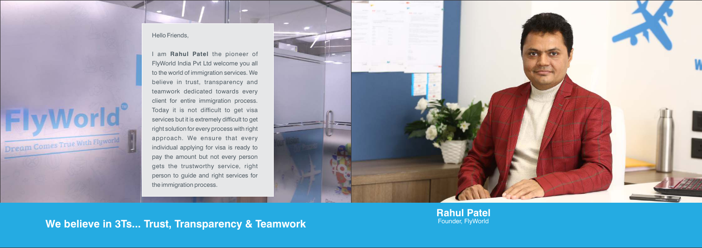# Dream Comes True With Flyworld

### Hello Friends,

I am **Rahul Patel** the pioneer of FlyWorld India Pvt Ltd welcome you all to the world of immigration services. We believe in trust, transparency and teamwork dedicated towards every client for entire immigration process. Today it is not difficult to get visa services but it is extremely difficult to get right solution for every process with right approach. We ensure that every individual applying for visa is ready to pay the amount but not every person gets the trustworthy service, right person to guide and right services for the immigration process.



## We believe in 3Ts... Trust, Transparency & Teamwork

**Rahul Patel**<br>Founder, FlyWorld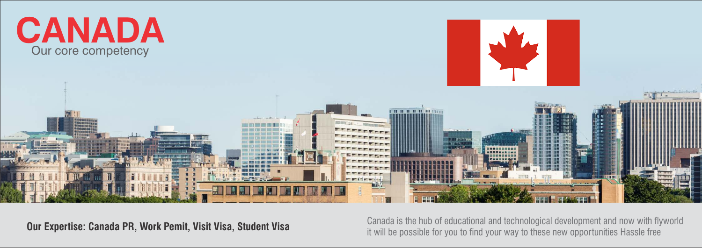





Canada is the hub of educational and technological development and now with flyworld **Our Expertise: Canada PR, Work Pemit, Visit Visa, Student Visa Canada is the hup of educational and technological development and now with hy of the set of these canada is the hup of educational and technological deve**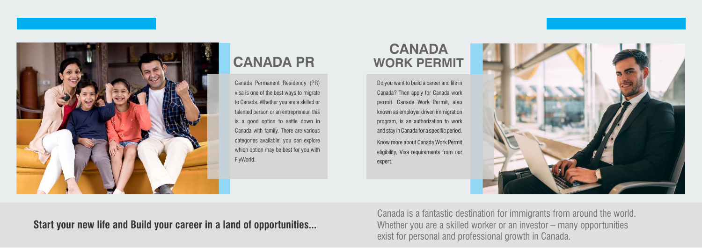**Start your new life and Build your career in a land of opportunities...**



# **CANADA PR**

# **CANADA WORK PERMIT**

Do you want to build a career and life in Canada? Then apply for Canada work permit. Canada Work Permit, also known as employer driven immigration program, is an authorization to work and stay in Canada for a specific period.

Canada Permanent Residency (PR) visa is one of the best ways to migrate to Canada. Whether you are a skilled or talented person or an entrepreneur, this is a good option to settle down in Canada with family. There are various categories available; you can explore which option may be best for you with FlyWorld.

Know more about Canada Work Permit eligibility, Visa requirements from our expert.



exist for personal and professional growth in Canada. Canada is a fantastic destination for immigrants from around the world. Whether you are a skilled worker or an investor – many opportunities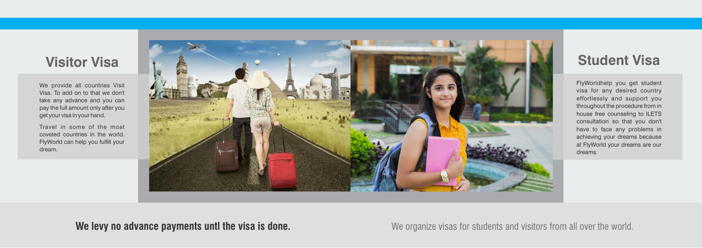We organize visas for students and visitors from all over the world.



FlyWorldhelp you get student visa for any desired country effortlessly and support you throughout the procedure from in house free counseling to ILETS consultation so that you don't have to face any problems in achieving your dreams because at FlyWorld your dreams are our dreams.

We provide all countries Visit Visa. To add on to that we don't take any advance and you can pay the full amount only after you get your visa in your hand.

Travel in some of the most coveted countries in the world. FlyWorld can help you fulfill your dream.

### **We levy no advance payments untl the visa is done.**